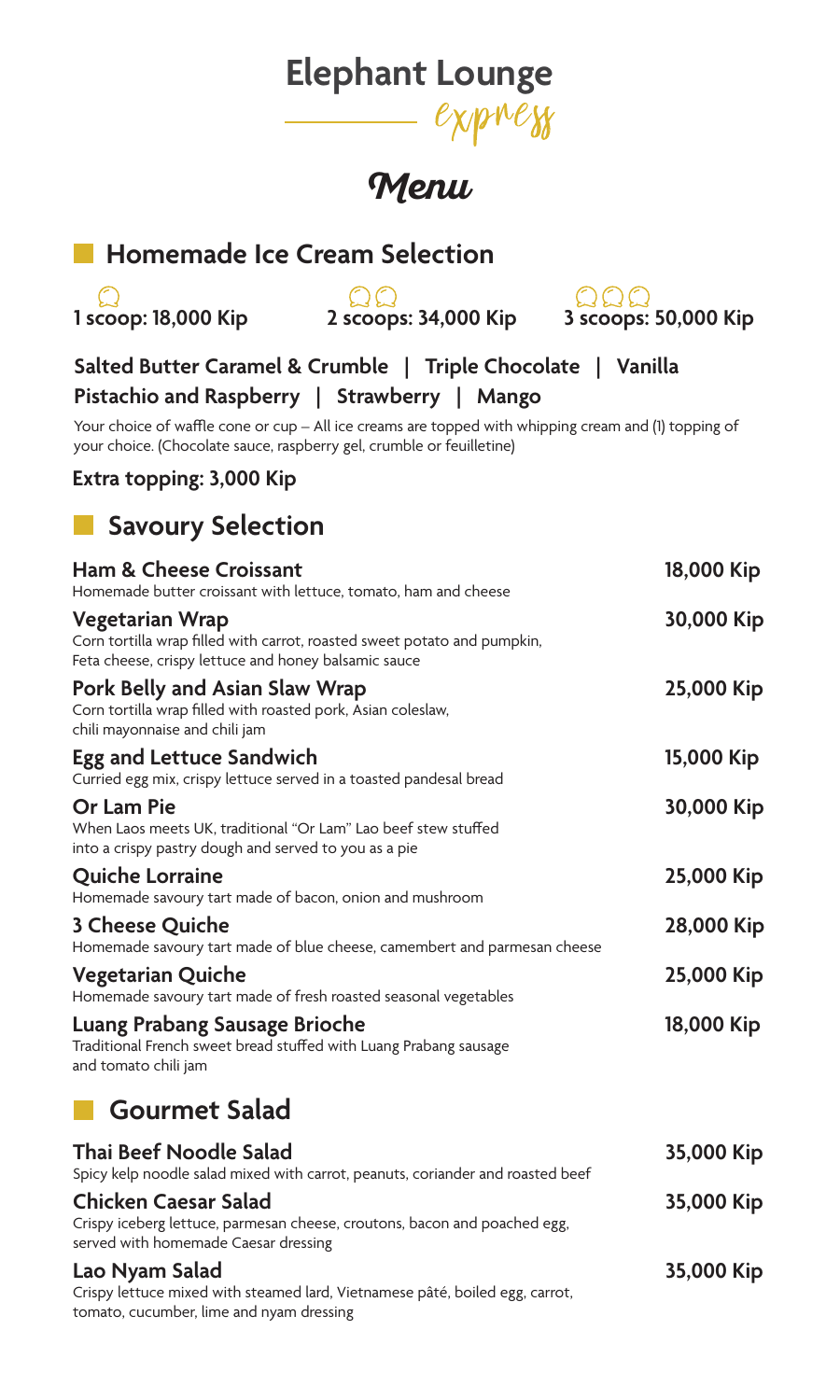# **Elephant Lounge**

# **Menu**

### **Homemade Ice Cream Selection**

 $\Omega$ **1 scoop: 18,000 Kip 2 scoops: 34,000 Kip 3 scoops: 50,000 Kip**

QQC

**Salted Butter Caramel & Crumble | Triple Chocolate | Vanilla Pistachio and Raspberry | Strawberry | Mango**

Your choice of waffle cone or cup - All ice creams are topped with whipping cream and (1) topping of your choice. (Chocolate sauce, raspberry gel, crumble or feuilletine)

#### **Extra topping: 3,000 Kip**

### **Savoury Selection**

| Ham & Cheese Croissant<br>Homemade butter croissant with lettuce, tomato, ham and cheese                                                            | 18,000 Kip |
|-----------------------------------------------------------------------------------------------------------------------------------------------------|------------|
| Vegetarian Wrap<br>Corn tortilla wrap filled with carrot, roasted sweet potato and pumpkin,<br>Feta cheese, crispy lettuce and honey balsamic sauce | 30,000 Kip |
| Pork Belly and Asian Slaw Wrap<br>Corn tortilla wrap filled with roasted pork, Asian coleslaw,<br>chili mayonnaise and chili jam                    | 25,000 Kip |
| Egg and Lettuce Sandwich<br>Curried egg mix, crispy lettuce served in a toasted pandesal bread                                                      | 15,000 Kip |
| Or Lam Pie<br>When Laos meets UK, traditional "Or Lam" Lao beef stew stuffed<br>into a crispy pastry dough and served to you as a pie               | 30,000 Kip |
| Quiche Lorraine<br>Homemade savoury tart made of bacon, onion and mushroom                                                                          | 25,000 Kip |
| 3 Cheese Quiche<br>Homemade savoury tart made of blue cheese, camembert and parmesan cheese                                                         | 28,000 Kip |
| Vegetarian Quiche<br>Homemade savoury tart made of fresh roasted seasonal vegetables                                                                | 25,000 Kip |
| Luang Prabang Sausage Brioche<br>Traditional French sweet bread stuffed with Luang Prabang sausage<br>and tomato chili jam                          | 18,000 Kip |
| Gourmet Salad                                                                                                                                       |            |

#### **Thai Beef Noodle Salad 35,000 Kip** Spicy kelp noodle salad mixed with carrot, peanuts, coriander and roasted beef **Chicken Caesar Salad 35,000 Kip** Crispy iceberg lettuce, parmesan cheese, croutons, bacon and poached egg, served with homemade Caesar dressing **Lao Nyam Salad 35,000 Kip** Crispy lettuce mixed with steamed lard, Vietnamese pâté, boiled egg, carrot, tomato, cucumber, lime and nyam dressing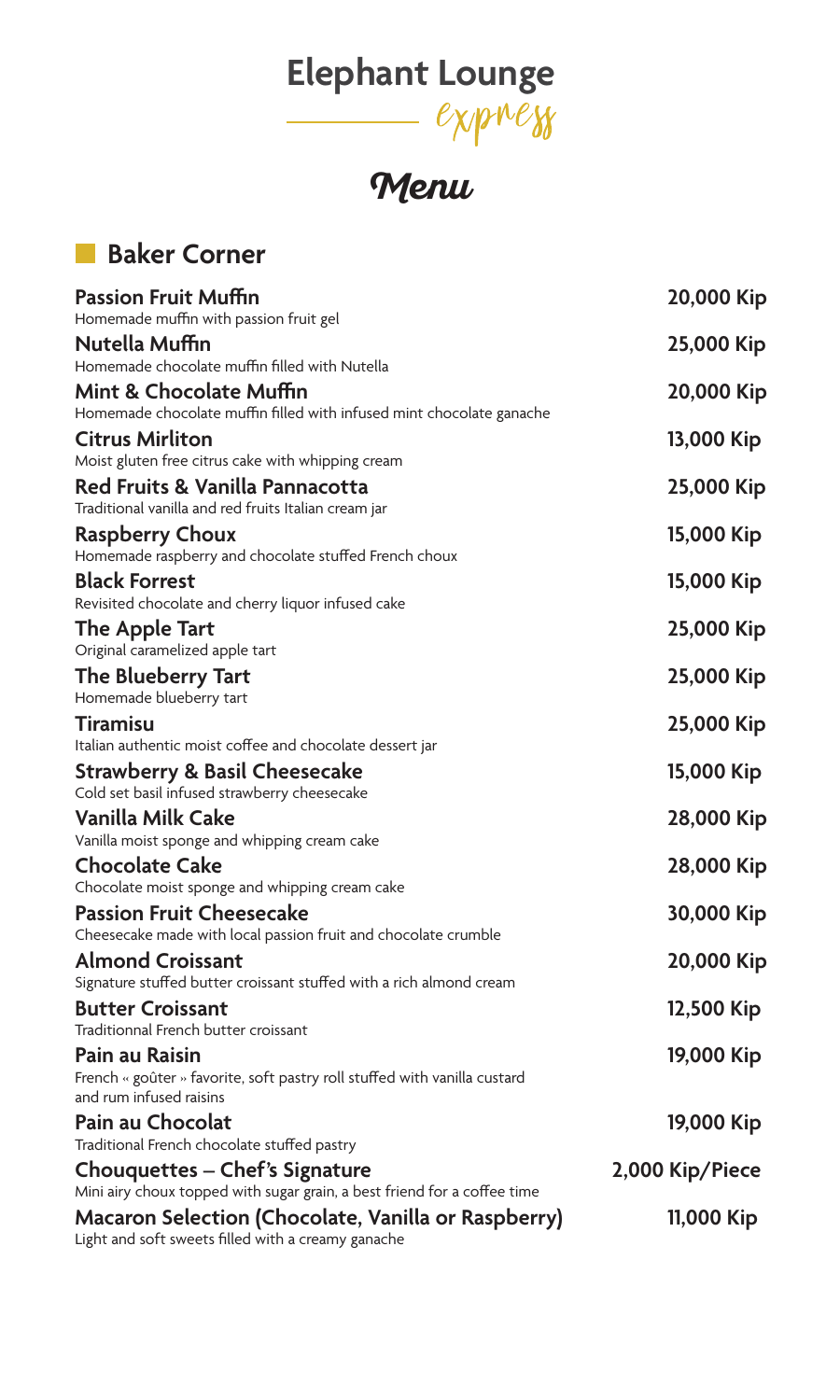# **Elephant Lounge**

**Menu**

## **Baker Corner**

| <b>Passion Fruit Muffin</b><br>Homemade muffin with passion fruit gel                                      | 20,000 Kip      |
|------------------------------------------------------------------------------------------------------------|-----------------|
| Nutella Muffin                                                                                             | 25,000 Kip      |
| Homemade chocolate muffin filled with Nutella                                                              |                 |
| Mint & Chocolate Muffin<br>Homemade chocolate muffin filled with infused mint chocolate ganache            | 20,000 Kip      |
| <b>Citrus Mirliton</b>                                                                                     | 13,000 Kip      |
| Moist gluten free citrus cake with whipping cream                                                          |                 |
| Red Fruits & Vanilla Pannacotta<br>Traditional vanilla and red fruits Italian cream jar                    | 25,000 Kip      |
| Raspberry Choux                                                                                            | 15,000 Kip      |
| Homemade raspberry and chocolate stuffed French choux                                                      |                 |
| <b>Black Forrest</b>                                                                                       | 15,000 Kip      |
| Revisited chocolate and cherry liquor infused cake                                                         |                 |
| The Apple Tart<br>Original caramelized apple tart                                                          | 25,000 Kip      |
| The Blueberry Tart                                                                                         | 25,000 Kip      |
| Homemade blueberry tart                                                                                    |                 |
| <b>Tiramisu</b>                                                                                            | 25,000 Kip      |
| Italian authentic moist coffee and chocolate dessert jar                                                   |                 |
| <b>Strawberry &amp; Basil Cheesecake</b><br>Cold set basil infused strawberry cheesecake                   | 15,000 Kip      |
| Vanilla Milk Cake                                                                                          | 28,000 Kip      |
| Vanilla moist sponge and whipping cream cake                                                               |                 |
| <b>Chocolate Cake</b>                                                                                      | 28,000 Kip      |
| Chocolate moist sponge and whipping cream cake                                                             |                 |
| <b>Passion Fruit Cheesecake</b><br>Cheesecake made with local passion fruit and chocolate crumble          | 30,000 Kip      |
| <b>Almond Croissant</b>                                                                                    | 20,000 Kip      |
| Signature stuffed butter croissant stuffed with a rich almond cream                                        |                 |
| <b>Butter Croissant</b><br>Traditionnal French butter croissant                                            | 12,500 Kip      |
| Pain au Raisin                                                                                             | 19,000 Kip      |
| French « goûter » favorite, soft pastry roll stuffed with vanilla custard<br>and rum infused raisins       |                 |
| Pain au Chocolat                                                                                           | 19,000 Kip      |
| Traditional French chocolate stuffed pastry                                                                |                 |
| Chouquettes - Chef's Signature<br>Mini airy choux topped with sugar grain, a best friend for a coffee time | 2,000 Kip/Piece |
| Macaron Selection (Chocolate, Vanilla or Raspberry)<br>Light and soft sweets filled with a creamy ganache  | 11,000 Kip      |